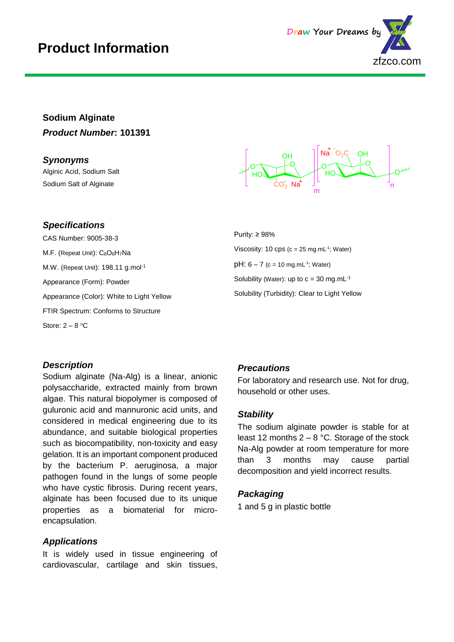

# **Sodium Alginate** *Product Number***: 101391**

*Synonyms*

Alginic Acid, Sodium Salt Sodium Salt of Alginate

#### Q | | *\_*o O HO 1 OH CO $_{2}$  Na $^{\circ}$ Na O $_2$ C $_1$ LOH o≦  $\mathsf{O}_{\mathsf{v}\mathsf{v}}$ m n OH

Purity: ≥ 98% Viscosity: 10 cps (c = 25 mg.mL $^{-1}$ ; Water)  $pH: 6 - 7$  (c = 10 mg.mL<sup>-1</sup>; Water) Solubility (Water): up to  $c = 30$  mg.mL $^{-1}$ Solubility (Turbidity): Clear to Light Yellow

# *Specifications*

CAS Number: 9005-38-3 M.F. (Repeat Unit): C<sub>6</sub>O<sub>6</sub>H<sub>7</sub>Na M.W. (Repeat Unit): 198.11 g.mol-1 Appearance (Form): Powder Appearance (Color): White to Light Yellow FTIR Spectrum: Conforms to Structure Store:  $2 - 8$  °C

#### *Description*

Sodium alginate (Na-Alg) is a linear, anionic polysaccharide, extracted mainly from brown algae. This natural biopolymer is composed of guluronic acid and mannuronic acid units, and considered in medical engineering due to its abundance, and suitable biological properties such as biocompatibility, non-toxicity and easy gelation. It is an important component produced by the bacterium P. aeruginosa, a major pathogen found in the lungs of some people who have cystic fibrosis. During recent years, alginate has been focused due to its unique properties as a biomaterial for microencapsulation.

## *Applications*

It is widely used in tissue engineering of cardiovascular, cartilage and skin tissues,

## *Precautions*

For laboratory and research use. Not for drug, household or other uses.

#### *Stability*

The sodium alginate powder is stable for at least 12 months  $2 - 8$  °C. Storage of the stock Na-Alg powder at room temperature for more than 3 months may cause partial decomposition and yield incorrect results.

#### *Packaging*

1 and 5 g in plastic bottle